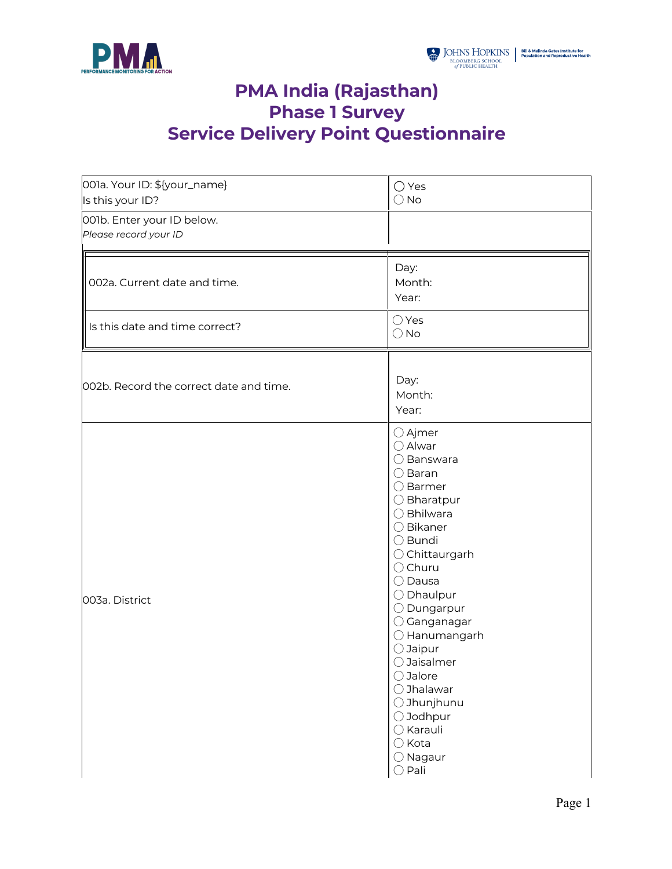

## **PMA India (Rajasthan) Phase 1 Survey Service Delivery Point Questionnaire**

| 001a. Your ID: \${your_name}<br>Is this your ID?    | $\bigcirc$ Yes<br>$\bigcirc$ No                                                                                                                                                                                                                                                                                                                                                                                                                                                         |
|-----------------------------------------------------|-----------------------------------------------------------------------------------------------------------------------------------------------------------------------------------------------------------------------------------------------------------------------------------------------------------------------------------------------------------------------------------------------------------------------------------------------------------------------------------------|
| 001b. Enter your ID below.<br>Please record your ID |                                                                                                                                                                                                                                                                                                                                                                                                                                                                                         |
| 002a. Current date and time.                        | Day:<br>Month:<br>Year:                                                                                                                                                                                                                                                                                                                                                                                                                                                                 |
| Is this date and time correct?                      | ◯ Yes<br>$\bigcirc$ No                                                                                                                                                                                                                                                                                                                                                                                                                                                                  |
| 002b. Record the correct date and time.             | Day:<br>Month:<br>Year:                                                                                                                                                                                                                                                                                                                                                                                                                                                                 |
| 003a. District                                      | ○ Ajmer<br>○ Alwar<br>$\bigcirc$ Banswara<br>◯ Baran<br>$\bigcirc$ Barmer<br>$\bigcirc$ Bharatpur<br>$\bigcirc$ Bhilwara<br>$\bigcirc$ Bikaner<br>○ Bundi<br>○ Chittaurgarh<br>$\bigcirc$ Churu<br>$\bigcirc$ Dausa<br>$\bigcirc$ Dhaulpur<br>$\bigcirc$ Dungarpur<br>$\bigcirc$ Ganganagar<br>○ Hanumangarh<br>$\bigcirc$ Jaipur<br>○ Jaisalmer<br>○ Jalore<br>◯ Jhalawar<br>○ Jhunjhunu<br>○ Jodhpur<br>$\bigcirc$ Karauli<br>$\bigcirc$ Kota<br>$\bigcirc$ Nagaur<br>$\bigcirc$ Pali |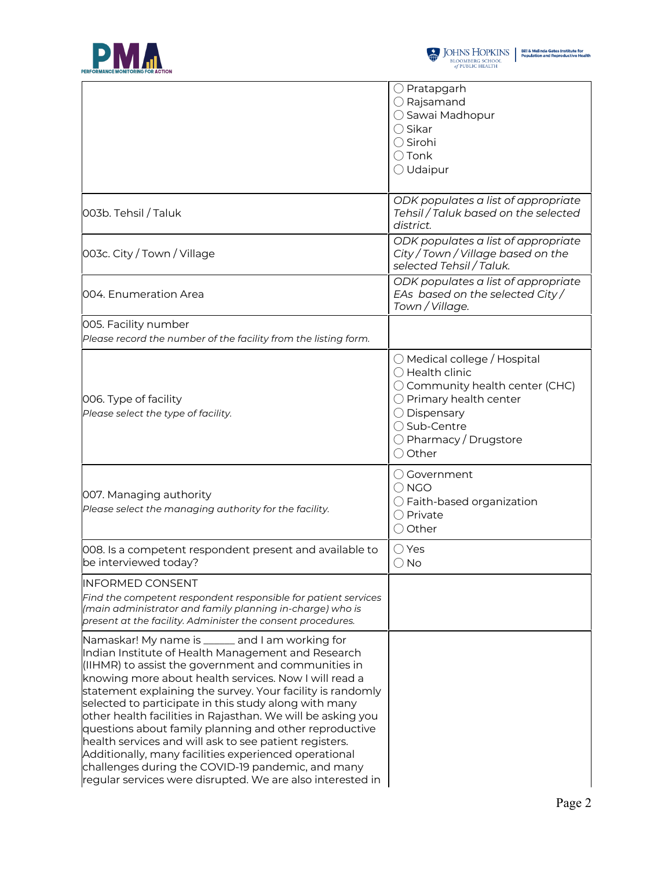



|                                                                                                                                                                                                                                                                                                                                                                                                                                                                                                                                                                                                                                                                                                              | $\bigcirc$ Pratapgarh<br>$\bigcirc$ Rajsamand<br>◯ Sawai Madhopur<br>$\bigcirc$ Sikar<br>◯ Sirohi<br>$\bigcirc$ Tonk<br>$\bigcirc$ Udaipur                                                                             |
|--------------------------------------------------------------------------------------------------------------------------------------------------------------------------------------------------------------------------------------------------------------------------------------------------------------------------------------------------------------------------------------------------------------------------------------------------------------------------------------------------------------------------------------------------------------------------------------------------------------------------------------------------------------------------------------------------------------|------------------------------------------------------------------------------------------------------------------------------------------------------------------------------------------------------------------------|
| 003b. Tehsil / Taluk                                                                                                                                                                                                                                                                                                                                                                                                                                                                                                                                                                                                                                                                                         | ODK populates a list of appropriate<br>Tehsil / Taluk based on the selected<br>district.                                                                                                                               |
| 003c. City / Town / Village                                                                                                                                                                                                                                                                                                                                                                                                                                                                                                                                                                                                                                                                                  | ODK populates a list of appropriate<br>City / Town / Village based on the<br>selected Tehsil / Taluk.                                                                                                                  |
| 004. Enumeration Area                                                                                                                                                                                                                                                                                                                                                                                                                                                                                                                                                                                                                                                                                        | ODK populates a list of appropriate<br>EAs based on the selected City/<br>Town / Village.                                                                                                                              |
| 005. Facility number<br>Please record the number of the facility from the listing form.                                                                                                                                                                                                                                                                                                                                                                                                                                                                                                                                                                                                                      |                                                                                                                                                                                                                        |
| 006. Type of facility<br>Please select the type of facility.                                                                                                                                                                                                                                                                                                                                                                                                                                                                                                                                                                                                                                                 | $\bigcirc$ Medical college / Hospital<br>$\bigcirc$ Health clinic<br>◯ Community health center (CHC)<br>$\bigcirc$ Primary health center<br>◯ Dispensary<br>◯ Sub-Centre<br>$\bigcirc$ Pharmacy / Drugstore<br>◯ Other |
| 007. Managing authority<br>Please select the managing authority for the facility.                                                                                                                                                                                                                                                                                                                                                                                                                                                                                                                                                                                                                            | ○ Government<br>$\bigcirc$ NGO<br>$\bigcirc$ Faith-based organization<br>○ Private<br>◯ Other                                                                                                                          |
| 008. Is a competent respondent present and available to<br>be interviewed today?                                                                                                                                                                                                                                                                                                                                                                                                                                                                                                                                                                                                                             | $\bigcirc$ Yes<br>$\bigcirc$ No                                                                                                                                                                                        |
| <b>INFORMED CONSENT</b><br>Find the competent respondent responsible for patient services<br>(main administrator and family planning in-charge) who is<br>present at the facility. Administer the consent procedures.                                                                                                                                                                                                                                                                                                                                                                                                                                                                                        |                                                                                                                                                                                                                        |
| Namaskar! My name is ______ and I am working for<br>Indian Institute of Health Management and Research<br>(IIHMR) to assist the government and communities in<br>knowing more about health services. Now I will read a<br>statement explaining the survey. Your facility is randomly<br>selected to participate in this study along with many<br>other health facilities in Rajasthan. We will be asking you<br>questions about family planning and other reproductive<br>health services and will ask to see patient registers.<br>Additionally, many facilities experienced operational<br>challenges during the COVID-19 pandemic, and many<br>regular services were disrupted. We are also interested in |                                                                                                                                                                                                                        |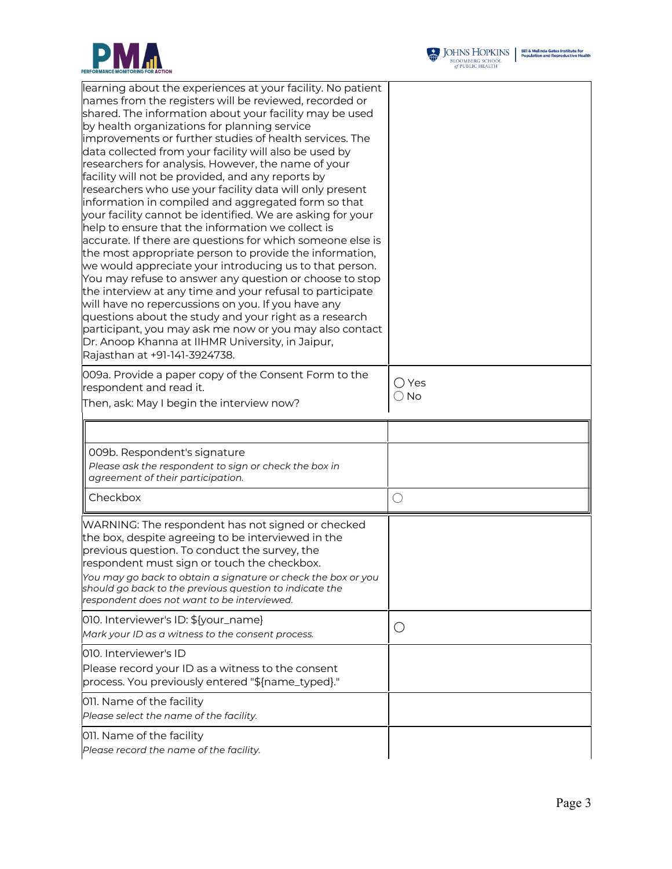

| learning about the experiences at your facility. No patient<br>names from the registers will be reviewed, recorded or<br>shared. The information about your facility may be used<br>by health organizations for planning service<br>improvements or further studies of health services. The<br>data collected from your facility will also be used by<br>researchers for analysis. However, the name of your<br>facility will not be provided, and any reports by                                                                                                                                                                                                                                                                                                                                              |               |
|----------------------------------------------------------------------------------------------------------------------------------------------------------------------------------------------------------------------------------------------------------------------------------------------------------------------------------------------------------------------------------------------------------------------------------------------------------------------------------------------------------------------------------------------------------------------------------------------------------------------------------------------------------------------------------------------------------------------------------------------------------------------------------------------------------------|---------------|
| researchers who use your facility data will only present<br>information in compiled and aggregated form so that<br>your facility cannot be identified. We are asking for your<br>help to ensure that the information we collect is<br>accurate. If there are questions for which someone else is<br>the most appropriate person to provide the information,<br>we would appreciate your introducing us to that person.<br>You may refuse to answer any question or choose to stop<br>the interview at any time and your refusal to participate<br>will have no repercussions on you. If you have any<br>questions about the study and your right as a research<br>participant, you may ask me now or you may also contact<br>Dr. Anoop Khanna at IIHMR University, in Jaipur,<br>Rajasthan at +91-141-3924738. |               |
| 009a. Provide a paper copy of the Consent Form to the<br>respondent and read it.                                                                                                                                                                                                                                                                                                                                                                                                                                                                                                                                                                                                                                                                                                                               | ○ Yes         |
| Then, ask: May I begin the interview now?                                                                                                                                                                                                                                                                                                                                                                                                                                                                                                                                                                                                                                                                                                                                                                      | $\bigcirc$ No |
| 009b. Respondent's signature<br>Please ask the respondent to sign or check the box in<br>agreement of their participation.                                                                                                                                                                                                                                                                                                                                                                                                                                                                                                                                                                                                                                                                                     |               |
| Checkbox                                                                                                                                                                                                                                                                                                                                                                                                                                                                                                                                                                                                                                                                                                                                                                                                       | $\bigcirc$    |
| WARNING: The respondent has not signed or checked<br>the box, despite agreeing to be interviewed in the<br>previous question. To conduct the survey, the<br>respondent must sign or touch the checkbox.<br>You may go back to obtain a signature or check the box or you<br>should go back to the previous question to indicate the<br>respondent does not want to be interviewed.                                                                                                                                                                                                                                                                                                                                                                                                                             |               |
| 010. Interviewer's ID: \${your_name}<br>Mark your ID as a witness to the consent process.                                                                                                                                                                                                                                                                                                                                                                                                                                                                                                                                                                                                                                                                                                                      | О             |
| 010. Interviewer's ID<br>Please record your ID as a witness to the consent<br>process. You previously entered "\${name_typed}."                                                                                                                                                                                                                                                                                                                                                                                                                                                                                                                                                                                                                                                                                |               |
| 011. Name of the facility<br>Please select the name of the facility.                                                                                                                                                                                                                                                                                                                                                                                                                                                                                                                                                                                                                                                                                                                                           |               |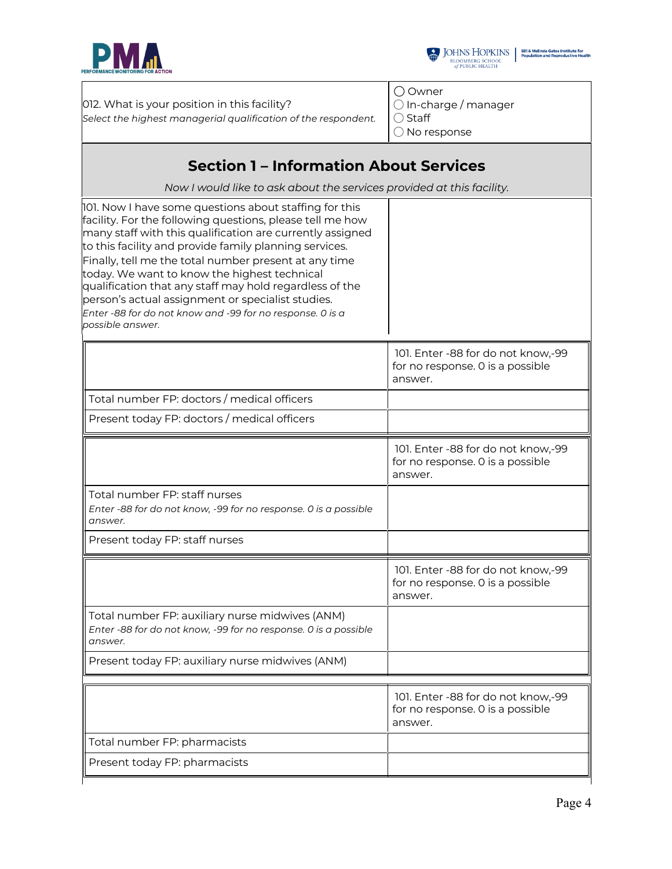



012. What is your position in this facility? *Select the highest managerial qualification of the respondent.* ◯ Owner ◯ In-charge / manager ◯ Staff ◯ No response **Section 1 – Information About Services** *Now I would like to ask about the services provided at this facility.* 101. Now I have some questions about staffing for this facility. For the following questions, please tell me how many staff with this qualification are currently assigned to this facility and provide family planning services. Finally, tell me the total number present at any time today. We want to know the highest technical qualification that any staff may hold regardless of the person's actual assignment or specialist studies. *Enter -88 for do not know and -99 for no response. 0 is a possible answer.* 101. Enter -88 for do not know,-99 for no response. 0 is a possible answer. Total number FP: doctors / medical officers Present today FP: doctors / medical officers 101. Enter -88 for do not know,-99 for no response. 0 is a possible answer. Total number FP: staff nurses *Enter -88 for do not know, -99 for no response. 0 is a possible answer.* Present today FP: staff nurses 101. Enter -88 for do not know,-99 for no response. 0 is a possible answer. Total number FP: auxiliary nurse midwives (ANM) *Enter -88 for do not know, -99 for no response. 0 is a possible answer.* Present today FP: auxiliary nurse midwives (ANM) 101. Enter -88 for do not know,-99 for no response. 0 is a possible answer. Total number FP: pharmacists Present today FP: pharmacists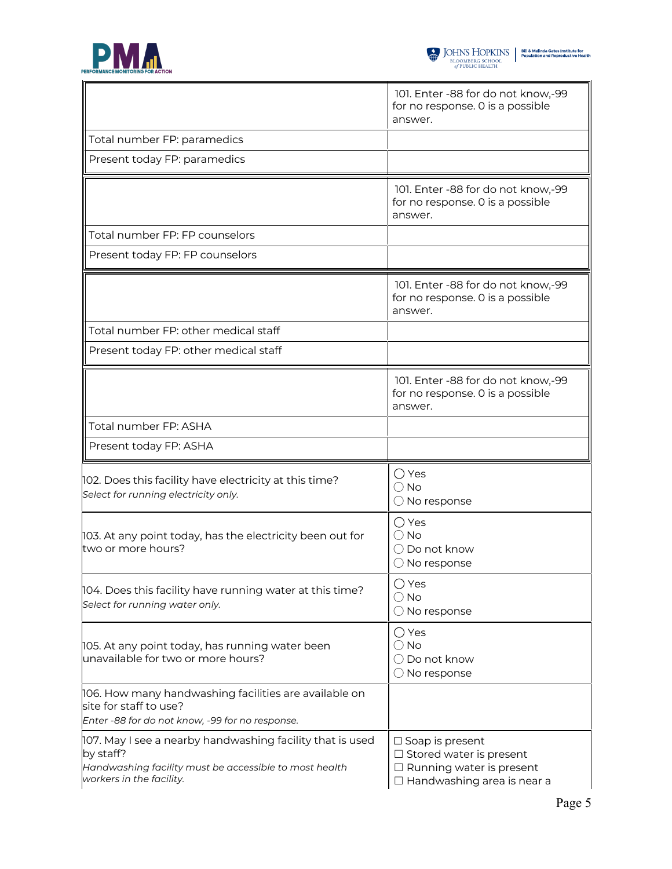

|                                                                                                | 101. Enter -88 for do not know,-99<br>for no response. O is a possible<br>answer.   |
|------------------------------------------------------------------------------------------------|-------------------------------------------------------------------------------------|
| Total number FP: paramedics                                                                    |                                                                                     |
| Present today FP: paramedics                                                                   |                                                                                     |
|                                                                                                | 101. Enter -88 for do not know,-99<br>for no response. 0 is a possible<br>answer.   |
| Total number FP: FP counselors                                                                 |                                                                                     |
| Present today FP: FP counselors                                                                |                                                                                     |
|                                                                                                | 101. Enter -88 for do not know,-99<br>for no response. O is a possible<br>answer.   |
| Total number FP: other medical staff                                                           |                                                                                     |
| Present today FP: other medical staff                                                          |                                                                                     |
|                                                                                                | 101. Enter -88 for do not know,-99<br>for no response. 0 is a possible<br>answer.   |
| Total number FP: ASHA                                                                          |                                                                                     |
| Present today FP: ASHA                                                                         |                                                                                     |
| 102. Does this facility have electricity at this time?<br>Select for running electricity only. | $\bigcirc$ Yes<br>$\bigcirc$ No<br>$\bigcirc$ No response                           |
| 103. At any point today, has the electricity been out for<br>two or more hours?                | ◯ Yes<br>$\bigcirc$ No<br>$\bigcirc$ Do not know<br>$\bigcirc$ No response          |
| 104. Does this facility have running water at this time?<br>Select for running water only.     | ◯ Yes<br>$\bigcirc$ No<br>$\bigcirc$ No response                                    |
| 105. At any point today, has running water been<br>unavailable for two or more hours?          | $\bigcirc$ Yes<br>$\bigcirc$ No<br>$\bigcirc$ Do not know<br>$\bigcirc$ No response |
| 106. How many handwashing facilities are available on                                          |                                                                                     |
| site for staff to use?<br>Enter -88 for do not know, -99 for no response.                      |                                                                                     |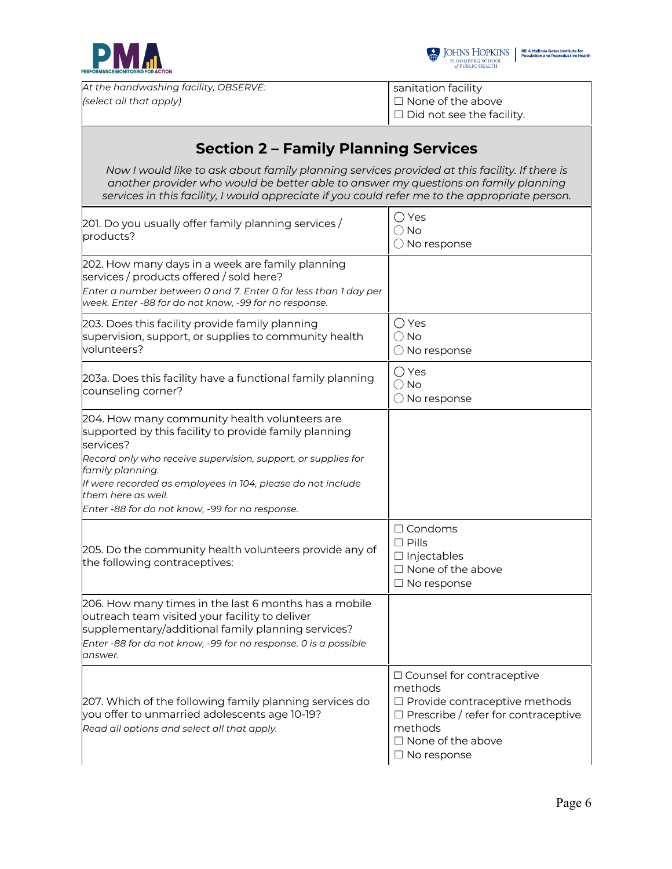



*At the handwashing facility, OBSERVE: (select all that apply)*

sanitation facility ☐ None of the above □ Did not see the facility.

| <b>Section 2 - Family Planning Services</b>                                                                                                                                                                                                                                                                                                      |                                                                                                                                                                                              |
|--------------------------------------------------------------------------------------------------------------------------------------------------------------------------------------------------------------------------------------------------------------------------------------------------------------------------------------------------|----------------------------------------------------------------------------------------------------------------------------------------------------------------------------------------------|
| Now I would like to ask about family planning services provided at this facility. If there is<br>another provider who would be better able to answer my questions on family planning<br>services in this facility, I would appreciate if you could refer me to the appropriate person.                                                           |                                                                                                                                                                                              |
| 201. Do you usually offer family planning services /<br>products?                                                                                                                                                                                                                                                                                | ◯ Yes<br>$\bigcirc$ No<br>$\bigcirc$ No response                                                                                                                                             |
| 202. How many days in a week are family planning<br>services / products offered / sold here?<br>Enter a number between 0 and 7. Enter 0 for less than 1 day per<br>week. Enter -88 for do not know, -99 for no response.                                                                                                                         |                                                                                                                                                                                              |
| 203. Does this facility provide family planning<br>supervision, support, or supplies to community health<br>volunteers?                                                                                                                                                                                                                          | ◯ Yes<br>$\bigcirc$ No<br>$\bigcirc$ No response                                                                                                                                             |
| 203a. Does this facility have a functional family planning<br>counseling corner?                                                                                                                                                                                                                                                                 | ◯ Yes<br>$\bigcirc$ No<br>$\bigcirc$ No response                                                                                                                                             |
| 204. How many community health volunteers are<br>supported by this facility to provide family planning<br>services?<br>Record only who receive supervision, support, or supplies for<br>family planning.<br>If were recorded as employees in 104, please do not include<br>them here as well.<br>Enter -88 for do not know, -99 for no response. |                                                                                                                                                                                              |
| 205. Do the community health volunteers provide any of<br>the following contraceptives:                                                                                                                                                                                                                                                          | $\Box$ Condoms<br>$\square$ Pills<br>$\Box$ Injectables<br>$\Box$ None of the above<br>$\square$ No response                                                                                 |
| 206. How many times in the last 6 months has a mobile<br>outreach team visited your facility to deliver<br>supplementary/additional family planning services?<br>Enter -88 for do not know, -99 for no response. 0 is a possible<br>answer.                                                                                                      |                                                                                                                                                                                              |
| 207. Which of the following family planning services do<br>you offer to unmarried adolescents age 10-19?<br>Read all options and select all that apply.                                                                                                                                                                                          | □ Counsel for contraceptive<br>methods<br>$\Box$ Provide contraceptive methods<br>$\Box$ Prescribe / refer for contraceptive<br>methods<br>$\Box$ None of the above<br>$\square$ No response |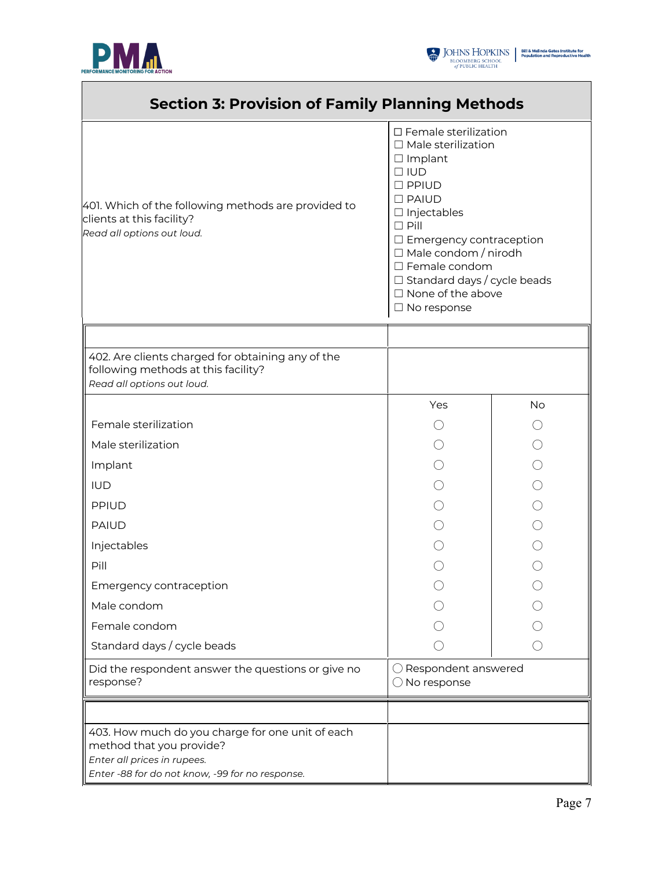

ľ



ı,

| <b>Section 3: Provision of Family Planning Methods</b>                                                                                                         |                                                                                                                                                                                                                                                                                                                                                 |           |
|----------------------------------------------------------------------------------------------------------------------------------------------------------------|-------------------------------------------------------------------------------------------------------------------------------------------------------------------------------------------------------------------------------------------------------------------------------------------------------------------------------------------------|-----------|
| 401. Which of the following methods are provided to<br>clients at this facility?<br>Read all options out loud.                                                 | □ Female sterilization<br>$\Box$ Male sterilization<br>$\Box$ Implant<br>$\Box$ IUD<br>$\square$ PPIUD<br>$\square$ PAIUD<br>$\Box$ Injectables<br>$\Box$ Pill<br>$\Box$ Emergency contraception<br>$\Box$ Male condom / nirodh<br>$\Box$ Female condom<br>$\Box$ Standard days / cycle beads<br>$\Box$ None of the above<br>$\Box$ No response |           |
|                                                                                                                                                                |                                                                                                                                                                                                                                                                                                                                                 |           |
| 402. Are clients charged for obtaining any of the<br>following methods at this facility?<br>Read all options out loud.                                         |                                                                                                                                                                                                                                                                                                                                                 |           |
|                                                                                                                                                                | Yes                                                                                                                                                                                                                                                                                                                                             | <b>No</b> |
| Female sterilization                                                                                                                                           |                                                                                                                                                                                                                                                                                                                                                 |           |
| Male sterilization                                                                                                                                             |                                                                                                                                                                                                                                                                                                                                                 |           |
| Implant                                                                                                                                                        |                                                                                                                                                                                                                                                                                                                                                 |           |
| <b>IUD</b>                                                                                                                                                     |                                                                                                                                                                                                                                                                                                                                                 |           |
| <b>PPIUD</b>                                                                                                                                                   |                                                                                                                                                                                                                                                                                                                                                 |           |
| <b>PAIUD</b>                                                                                                                                                   |                                                                                                                                                                                                                                                                                                                                                 |           |
| Injectables                                                                                                                                                    |                                                                                                                                                                                                                                                                                                                                                 |           |
| Pill                                                                                                                                                           |                                                                                                                                                                                                                                                                                                                                                 |           |
| Emergency contraception                                                                                                                                        |                                                                                                                                                                                                                                                                                                                                                 |           |
| Male condom                                                                                                                                                    |                                                                                                                                                                                                                                                                                                                                                 |           |
| Female condom                                                                                                                                                  |                                                                                                                                                                                                                                                                                                                                                 |           |
| Standard days / cycle beads                                                                                                                                    |                                                                                                                                                                                                                                                                                                                                                 |           |
| Did the respondent answer the questions or give no<br>response?                                                                                                | ◯ Respondent answered<br>$\bigcirc$ No response                                                                                                                                                                                                                                                                                                 |           |
|                                                                                                                                                                |                                                                                                                                                                                                                                                                                                                                                 |           |
| 403. How much do you charge for one unit of each<br>method that you provide?<br>Enter all prices in rupees.<br>Enter -88 for do not know, -99 for no response. |                                                                                                                                                                                                                                                                                                                                                 |           |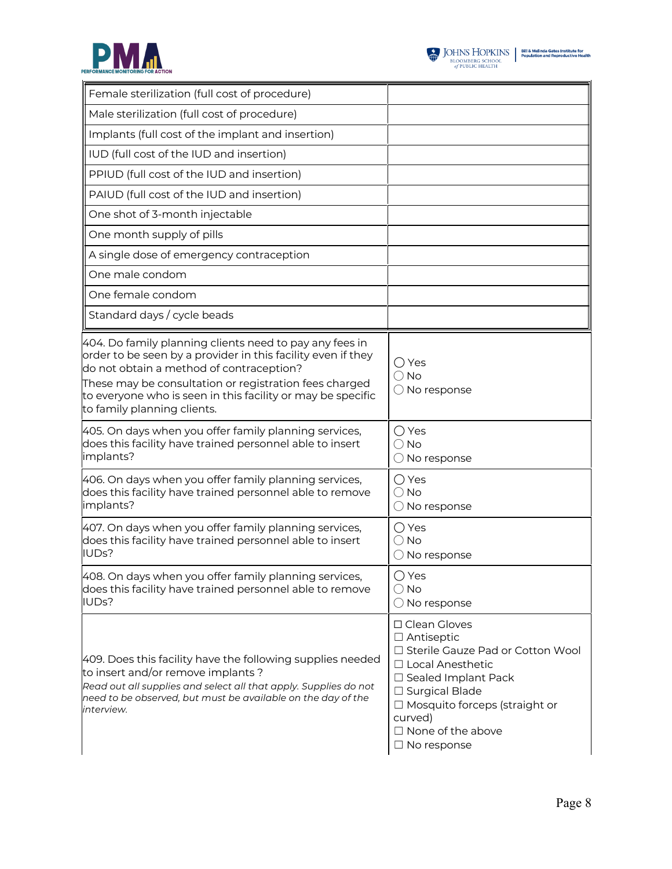



| Female sterilization (full cost of procedure)                                                                                                                                                                                                                                                                                              |                                                                                                                                                                                                                                                   |
|--------------------------------------------------------------------------------------------------------------------------------------------------------------------------------------------------------------------------------------------------------------------------------------------------------------------------------------------|---------------------------------------------------------------------------------------------------------------------------------------------------------------------------------------------------------------------------------------------------|
| Male sterilization (full cost of procedure)                                                                                                                                                                                                                                                                                                |                                                                                                                                                                                                                                                   |
| Implants (full cost of the implant and insertion)                                                                                                                                                                                                                                                                                          |                                                                                                                                                                                                                                                   |
| IUD (full cost of the IUD and insertion)                                                                                                                                                                                                                                                                                                   |                                                                                                                                                                                                                                                   |
| PPIUD (full cost of the IUD and insertion)                                                                                                                                                                                                                                                                                                 |                                                                                                                                                                                                                                                   |
| PAIUD (full cost of the IUD and insertion)                                                                                                                                                                                                                                                                                                 |                                                                                                                                                                                                                                                   |
| One shot of 3-month injectable                                                                                                                                                                                                                                                                                                             |                                                                                                                                                                                                                                                   |
| One month supply of pills                                                                                                                                                                                                                                                                                                                  |                                                                                                                                                                                                                                                   |
| A single dose of emergency contraception                                                                                                                                                                                                                                                                                                   |                                                                                                                                                                                                                                                   |
| One male condom                                                                                                                                                                                                                                                                                                                            |                                                                                                                                                                                                                                                   |
| One female condom                                                                                                                                                                                                                                                                                                                          |                                                                                                                                                                                                                                                   |
| Standard days / cycle beads                                                                                                                                                                                                                                                                                                                |                                                                                                                                                                                                                                                   |
| 404. Do family planning clients need to pay any fees in<br>order to be seen by a provider in this facility even if they<br>do not obtain a method of contraception?<br>These may be consultation or registration fees charged $\overline{ }$<br>to everyone who is seen in this facility or may be specific<br>to family planning clients. | ◯ Yes<br>$\bigcirc$ No<br>$\bigcirc$ No response                                                                                                                                                                                                  |
| 405. On days when you offer family planning services,<br>does this facility have trained personnel able to insert<br>implants?                                                                                                                                                                                                             | $\bigcirc$ Yes<br>$\bigcirc$ No<br>$\bigcirc$ No response                                                                                                                                                                                         |
| 406. On days when you offer family planning services,<br>does this facility have trained personnel able to remove<br>implants?                                                                                                                                                                                                             | ◯ Yes<br>$\bigcirc$ No<br>$\bigcirc$ No response                                                                                                                                                                                                  |
| 407. On days when you offer family planning services,<br>does this facility have trained personnel able to insert<br>IUDs?                                                                                                                                                                                                                 | $\bigcirc$ Yes<br>$\bigcirc$ No<br>$\bigcirc$ No response                                                                                                                                                                                         |
| 408. On days when you offer family planning services,<br>does this facility have trained personnel able to remove<br>IUDs?                                                                                                                                                                                                                 | $\bigcirc$ Yes<br>$\bigcirc$ No<br>$\bigcirc$ No response                                                                                                                                                                                         |
| 409. Does this facility have the following supplies needed<br>to insert and/or remove implants ?<br>Read out all supplies and select all that apply. Supplies do not<br>need to be observed, but must be available on the day of the<br>interview.                                                                                         | □ Clean Gloves<br>$\Box$ Antiseptic<br>□ Sterile Gauze Pad or Cotton Wool<br>□ Local Anesthetic<br>□ Sealed Implant Pack<br>□ Surgical Blade<br>$\Box$ Mosquito forceps (straight or<br>curved)<br>$\Box$ None of the above<br>$\Box$ No response |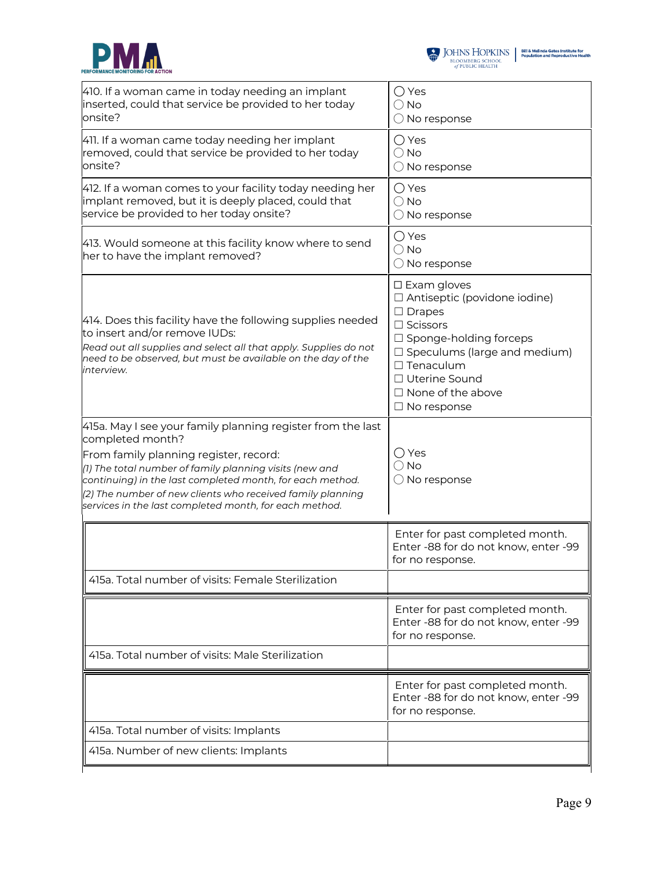



| 410. If a woman came in today needing an implant<br>inserted, could that service be provided to her today<br>onsite?                                                                                                                                                                                                                                                      | ◯ Yes<br>$\bigcirc$ No<br>$\bigcirc$ No response                                                                                                                                                                                                                     |
|---------------------------------------------------------------------------------------------------------------------------------------------------------------------------------------------------------------------------------------------------------------------------------------------------------------------------------------------------------------------------|----------------------------------------------------------------------------------------------------------------------------------------------------------------------------------------------------------------------------------------------------------------------|
| 411. If a woman came today needing her implant<br>removed, could that service be provided to her today<br>onsite?                                                                                                                                                                                                                                                         | $\bigcirc$ Yes<br>$\bigcirc$ No<br>$\bigcirc$ No response                                                                                                                                                                                                            |
| 412. If a woman comes to your facility today needing her<br>implant removed, but it is deeply placed, could that<br>service be provided to her today onsite?                                                                                                                                                                                                              | $\bigcirc$ Yes<br>$\bigcirc$ No<br>$\bigcirc$ No response                                                                                                                                                                                                            |
| 413. Would someone at this facility know where to send<br>her to have the implant removed?                                                                                                                                                                                                                                                                                | $\bigcirc$ Yes<br>$\bigcirc$ No<br>$\bigcirc$ No response                                                                                                                                                                                                            |
| 414. Does this facility have the following supplies needed<br>to insert and/or remove IUDs:<br>Read out all supplies and select all that apply. Supplies do not<br>need to be observed, but must be available on the day of the<br>interview.                                                                                                                             | $\square$ Exam gloves<br>$\Box$ Antiseptic (povidone iodine)<br>$\Box$ Drapes<br>$\Box$ Scissors<br>$\Box$ Sponge-holding forceps<br>$\square$ Speculums (large and medium)<br>$\Box$ Tenaculum<br>□ Uterine Sound<br>$\Box$ None of the above<br>$\Box$ No response |
| 415a. May I see your family planning register from the last<br>completed month?<br>From family planning register, record:<br>(1) The total number of family planning visits (new and<br>continuing) in the last completed month, for each method.<br>(2) The number of new clients who received family planning<br>services in the last completed month, for each method. | ◯ Yes<br>$\bigcirc$ No<br>$\bigcirc$ No response                                                                                                                                                                                                                     |
|                                                                                                                                                                                                                                                                                                                                                                           | Enter for past completed month.<br>Enter -88 for do not know, enter -99<br>for no response.                                                                                                                                                                          |
| 415a. Total number of visits: Female Sterilization                                                                                                                                                                                                                                                                                                                        |                                                                                                                                                                                                                                                                      |
|                                                                                                                                                                                                                                                                                                                                                                           | Enter for past completed month.<br>Enter -88 for do not know, enter -99<br>for no response.                                                                                                                                                                          |
| 415a. Total number of visits: Male Sterilization                                                                                                                                                                                                                                                                                                                          |                                                                                                                                                                                                                                                                      |
|                                                                                                                                                                                                                                                                                                                                                                           | Enter for past completed month.<br>Enter -88 for do not know, enter -99<br>for no response.                                                                                                                                                                          |
| 415a. Total number of visits: Implants                                                                                                                                                                                                                                                                                                                                    |                                                                                                                                                                                                                                                                      |
| 415a. Number of new clients: Implants                                                                                                                                                                                                                                                                                                                                     |                                                                                                                                                                                                                                                                      |
|                                                                                                                                                                                                                                                                                                                                                                           |                                                                                                                                                                                                                                                                      |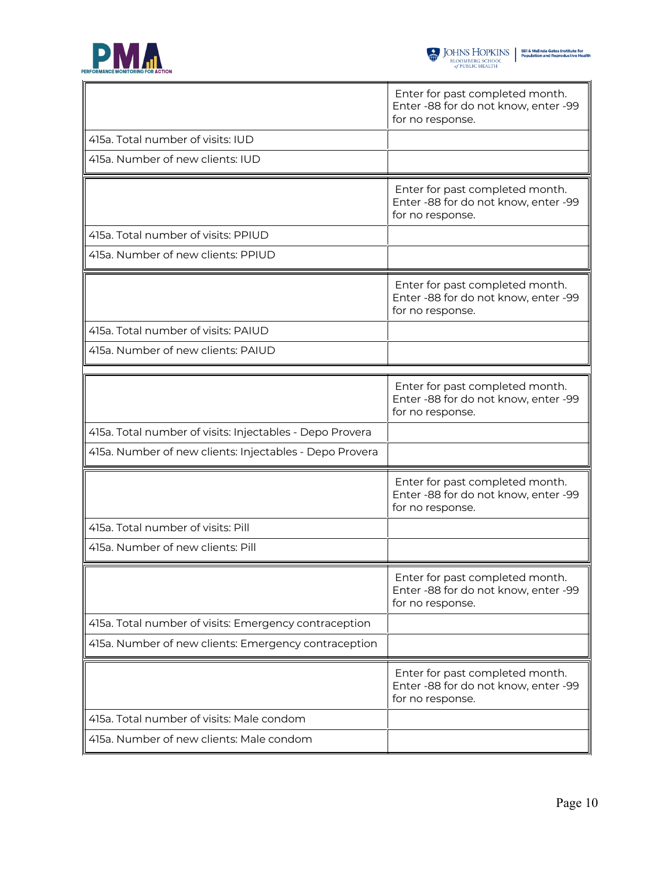

 $\blacksquare$ 

|                                                          | Enter for past completed month.<br>Enter -88 for do not know, enter -99<br>for no response. |
|----------------------------------------------------------|---------------------------------------------------------------------------------------------|
| 415a. Total number of visits: IUD                        |                                                                                             |
| 415a. Number of new clients: IUD                         |                                                                                             |
|                                                          | Enter for past completed month.<br>Enter -88 for do not know, enter -99<br>for no response. |
| 415a. Total number of visits: PPIUD                      |                                                                                             |
| 415a. Number of new clients: PPIUD                       |                                                                                             |
|                                                          | Enter for past completed month.<br>Enter -88 for do not know, enter -99<br>for no response. |
| 415a. Total number of visits: PAIUD                      |                                                                                             |
| 415a. Number of new clients: PAIUD                       |                                                                                             |
|                                                          | Enter for past completed month.<br>Enter -88 for do not know, enter -99<br>for no response. |
| 415a. Total number of visits: Injectables - Depo Provera |                                                                                             |
| 415a. Number of new clients: Injectables - Depo Provera  |                                                                                             |
|                                                          | Enter for past completed month.<br>Enter -88 for do not know, enter -99<br>for no response. |
| 415a. Total number of visits: Pill                       |                                                                                             |
| 415a. Number of new clients: Pill                        |                                                                                             |
|                                                          | Enter for past completed month.<br>Enter -88 for do not know, enter -99<br>for no response. |
| 415a. Total number of visits: Emergency contraception    |                                                                                             |
| 415a. Number of new clients: Emergency contraception     |                                                                                             |
|                                                          | Enter for past completed month.<br>Enter -88 for do not know, enter -99<br>for no response. |
| 415a. Total number of visits: Male condom                |                                                                                             |
|                                                          |                                                                                             |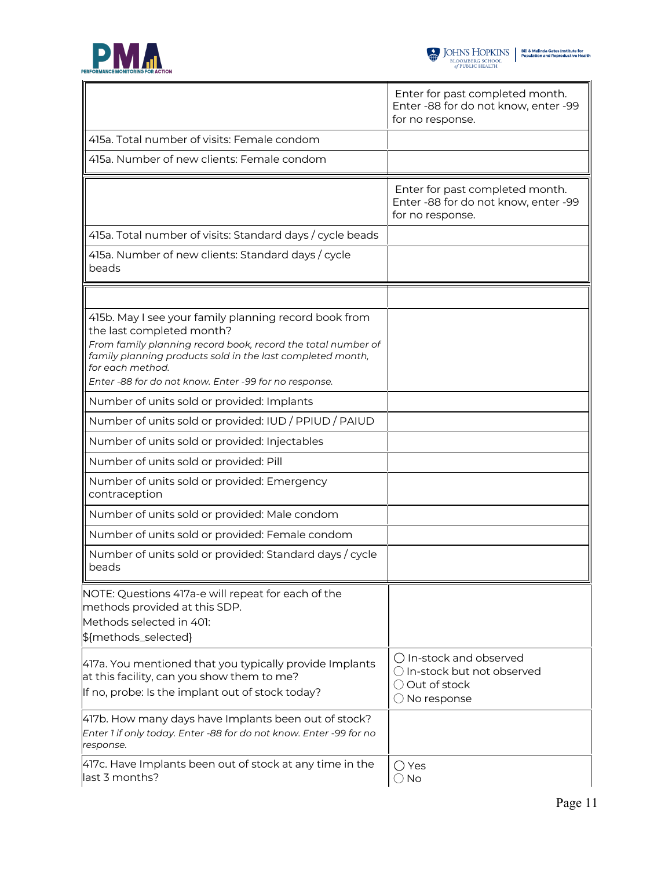



|                                                                                                                                                                                                                                                                                               | Enter for past completed month.<br>Enter -88 for do not know, enter -99<br>for no response.                |
|-----------------------------------------------------------------------------------------------------------------------------------------------------------------------------------------------------------------------------------------------------------------------------------------------|------------------------------------------------------------------------------------------------------------|
| 415a. Total number of visits: Female condom                                                                                                                                                                                                                                                   |                                                                                                            |
| 415a. Number of new clients: Female condom                                                                                                                                                                                                                                                    |                                                                                                            |
|                                                                                                                                                                                                                                                                                               | Enter for past completed month.<br>Enter -88 for do not know, enter -99<br>for no response.                |
| 415a. Total number of visits: Standard days / cycle beads                                                                                                                                                                                                                                     |                                                                                                            |
| 415a. Number of new clients: Standard days / cycle<br>beads                                                                                                                                                                                                                                   |                                                                                                            |
|                                                                                                                                                                                                                                                                                               |                                                                                                            |
| 415b. May I see your family planning record book from<br>the last completed month?<br>From family planning record book, record the total number of<br>family planning products sold in the last completed month,<br>for each method.<br>Enter -88 for do not know. Enter -99 for no response. |                                                                                                            |
| Number of units sold or provided: Implants                                                                                                                                                                                                                                                    |                                                                                                            |
| Number of units sold or provided: IUD / PPIUD / PAIUD                                                                                                                                                                                                                                         |                                                                                                            |
| Number of units sold or provided: Injectables                                                                                                                                                                                                                                                 |                                                                                                            |
| Number of units sold or provided: Pill                                                                                                                                                                                                                                                        |                                                                                                            |
| Number of units sold or provided: Emergency<br>contraception                                                                                                                                                                                                                                  |                                                                                                            |
| Number of units sold or provided: Male condom                                                                                                                                                                                                                                                 |                                                                                                            |
| Number of units sold or provided: Female condom                                                                                                                                                                                                                                               |                                                                                                            |
| Number of units sold or provided: Standard days / cycle<br>beads                                                                                                                                                                                                                              |                                                                                                            |
| NOTE: Questions 417a-e will repeat for each of the<br>methods provided at this SDP.<br>Methods selected in 401:<br>\${methods_selected}                                                                                                                                                       |                                                                                                            |
| 417a. You mentioned that you typically provide Implants<br>at this facility, can you show them to me?<br>If no, probe: Is the implant out of stock today?                                                                                                                                     | $\bigcap$ In-stock and observed<br>O In-stock but not observed<br>◯ Out of stock<br>$\bigcirc$ No response |
| 417b. How many days have Implants been out of stock?<br>Enter 1 if only today. Enter -88 for do not know. Enter -99 for no<br>response.                                                                                                                                                       |                                                                                                            |
| 417c. Have Implants been out of stock at any time in the<br>last 3 months?                                                                                                                                                                                                                    | $\bigcirc$ Yes<br>$\bigcirc$ No                                                                            |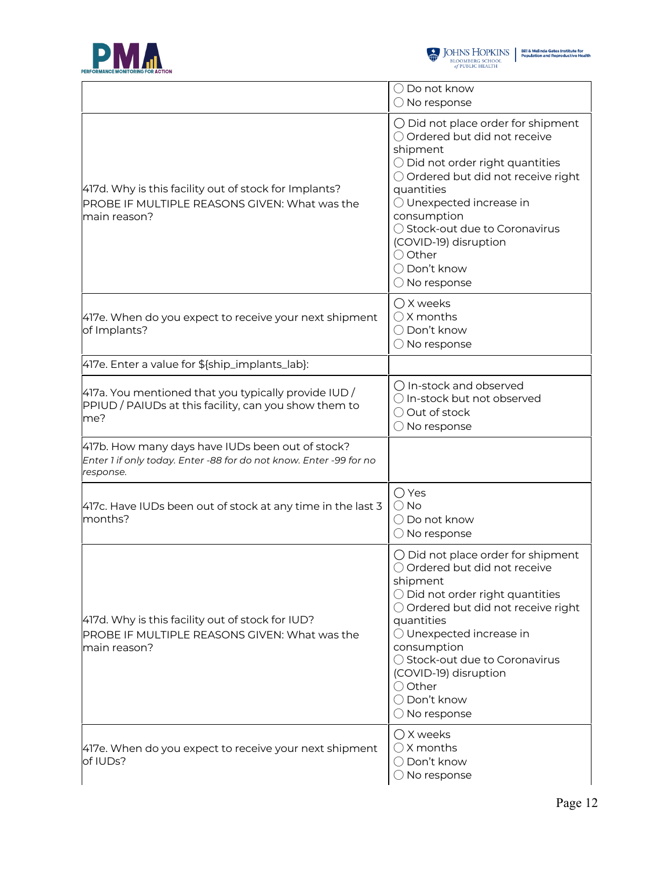



|                                                                                                                                     | $\bigcirc$ Do not know<br>$\bigcirc$ No response                                                                                                                                                                                                                                                                                                      |
|-------------------------------------------------------------------------------------------------------------------------------------|-------------------------------------------------------------------------------------------------------------------------------------------------------------------------------------------------------------------------------------------------------------------------------------------------------------------------------------------------------|
| 417d. Why is this facility out of stock for Implants?<br>PROBE IF MULTIPLE REASONS GIVEN: What was the<br>main reason?              | $\bigcirc$ Did not place order for shipment<br>○ Ordered but did not receive<br>shipment<br>O Did not order right quantities<br>○ Ordered but did not receive right<br>quantities<br>O Unexpected increase in<br>consumption<br>◯ Stock-out due to Coronavirus<br>(COVID-19) disruption<br>○ Other<br>○ Don't know<br>$\bigcirc$ No response          |
| 417e. When do you expect to receive your next shipment<br>of Implants?                                                              | $\bigcirc$ X weeks<br>$\bigcirc$ X months<br>◯ Don't know<br>$\bigcirc$ No response                                                                                                                                                                                                                                                                   |
| 417e. Enter a value for \${ship_implants_lab}:                                                                                      |                                                                                                                                                                                                                                                                                                                                                       |
| $4$ 17a. You mentioned that you typically provide IUD /<br>PPIUD / PAIUDs at this facility, can you show them to<br>me?             | ○ In-stock and observed<br>○ In-stock but not observed<br>○ Out of stock<br>$\bigcirc$ No response                                                                                                                                                                                                                                                    |
| 417b. How many days have IUDs been out of stock?<br>Enter 1 if only today. Enter -88 for do not know. Enter -99 for no<br>response. |                                                                                                                                                                                                                                                                                                                                                       |
| 417c. Have IUDs been out of stock at any time in the last 3<br>months?                                                              | $\bigcirc$ Yes<br>$\bigcirc$ No<br>$\bigcirc$ Do not know<br>$\bigcirc$ No response                                                                                                                                                                                                                                                                   |
| 417d. Why is this facility out of stock for IUD?<br>PROBE IF MULTIPLE REASONS GIVEN: What was the<br>main reason?                   | $\bigcirc$ Did not place order for shipment<br>○ Ordered but did not receive<br>shipment<br>$\bigcirc$ Did not order right quantities<br>○ Ordered but did not receive right<br>quantities<br>◯ Unexpected increase in<br>consumption<br>◯ Stock-out due to Coronavirus<br>(COVID-19) disruption<br>○ Other<br>◯ Don't know<br>$\bigcirc$ No response |
| 417e. When do you expect to receive your next shipment<br>of IUDs?                                                                  | $\bigcirc$ X weeks<br>$\bigcirc$ X months<br>◯ Don't know<br>$\bigcirc$ No response                                                                                                                                                                                                                                                                   |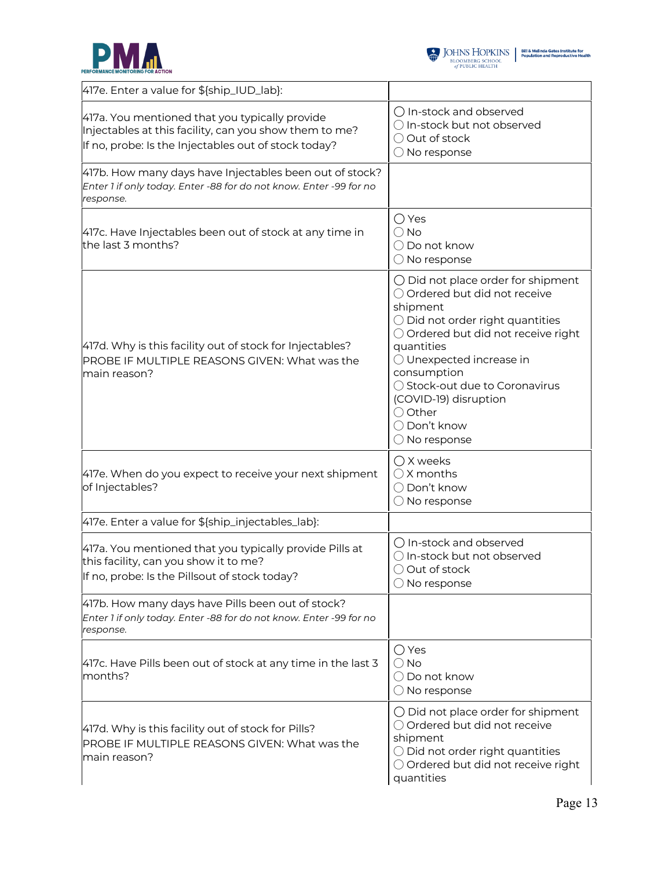



| 417e. Enter a value for \${ship_IUD_lab}:                                                                                                                        |                                                                                                                                                                                                                                                                                                                                                                |
|------------------------------------------------------------------------------------------------------------------------------------------------------------------|----------------------------------------------------------------------------------------------------------------------------------------------------------------------------------------------------------------------------------------------------------------------------------------------------------------------------------------------------------------|
| 417a. You mentioned that you typically provide<br>Injectables at this facility, can you show them to me?<br>If no, probe: Is the Injectables out of stock today? | $\bigcirc$ In-stock and observed<br>○ In-stock but not observed<br>○ Out of stock<br>$\bigcirc$ No response                                                                                                                                                                                                                                                    |
| 417b. How many days have Injectables been out of stock?<br>Enter 1 if only today. Enter -88 for do not know. Enter -99 for no<br>response.                       |                                                                                                                                                                                                                                                                                                                                                                |
| 417c. Have Injectables been out of stock at any time in<br>the last 3 months?                                                                                    | ◯ Yes<br>$\bigcirc$ No<br>$\bigcirc$ Do not know<br>$\bigcirc$ No response                                                                                                                                                                                                                                                                                     |
| 417d. Why is this facility out of stock for Injectables?<br>PROBE IF MULTIPLE REASONS GIVEN: What was the<br>main reason?                                        | $\bigcirc$ Did not place order for shipment<br>○ Ordered but did not receive<br>shipment<br>$\bigcirc$ Did not order right quantities<br>○ Ordered but did not receive right<br>quantities<br>$\bigcirc$ Unexpected increase in<br>consumption<br>○ Stock-out due to Coronavirus<br>(COVID-19) disruption<br>○ Other<br>◯ Don't know<br>$\bigcirc$ No response |
| 417e. When do you expect to receive your next shipment<br>of Injectables?                                                                                        | ○ X weeks<br>$\bigcirc$ X months<br>◯ Don't know<br>$\bigcirc$ No response                                                                                                                                                                                                                                                                                     |
| 417e. Enter a value for \${ship_injectables_lab}:                                                                                                                |                                                                                                                                                                                                                                                                                                                                                                |
| 417a. You mentioned that you typically provide Pills at<br>this facility, can you show it to me?<br>If no, probe: Is the Pillsout of stock today?                | ○ In-stock and observed<br>$\bigcirc$ In-stock but not observed<br>○ Out of stock<br>$\bigcirc$ No response                                                                                                                                                                                                                                                    |
| 417b. How many days have Pills been out of stock?<br>Enter 1 if only today. Enter -88 for do not know. Enter -99 for no<br>response.                             |                                                                                                                                                                                                                                                                                                                                                                |
| 417c. Have Pills been out of stock at any time in the last 3<br>months?                                                                                          | ◯ Yes<br>$\bigcirc$ No<br>$\bigcirc$ Do not know<br>$\bigcirc$ No response                                                                                                                                                                                                                                                                                     |
| 417d. Why is this facility out of stock for Pills?<br>PROBE IF MULTIPLE REASONS GIVEN: What was the<br>main reason?                                              | $\bigcirc$ Did not place order for shipment<br>O Ordered but did not receive<br>shipment<br>$\bigcirc$ Did not order right quantities<br>○ Ordered but did not receive right<br>quantities                                                                                                                                                                     |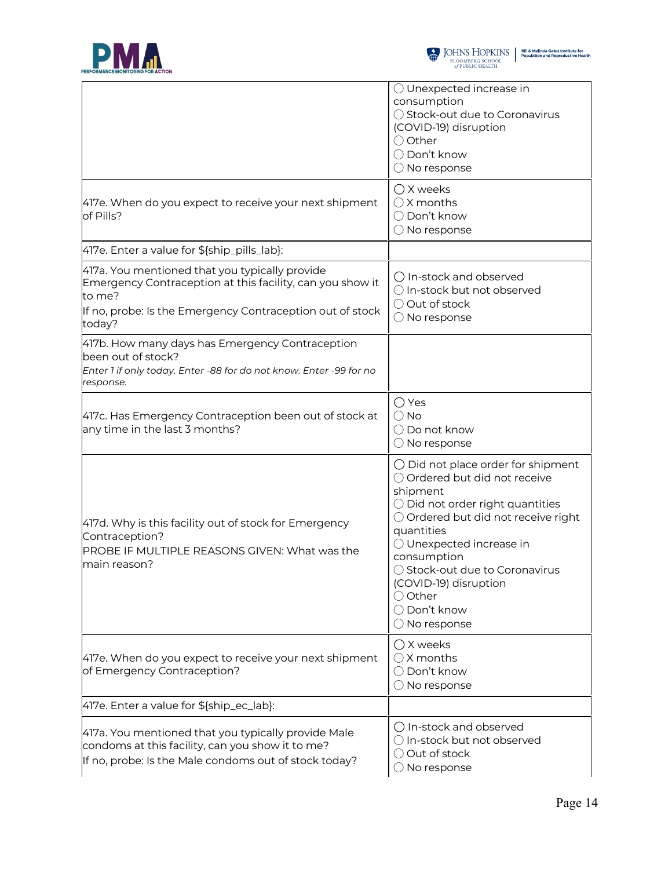



|                                                                                                                                                                                              | $\bigcirc$ Unexpected increase in<br>consumption<br>◯ Stock-out due to Coronavirus<br>(COVID-19) disruption<br>○ Other<br>◯ Don't know<br>$\bigcirc$ No response                                                                                                                                                                                      |
|----------------------------------------------------------------------------------------------------------------------------------------------------------------------------------------------|-------------------------------------------------------------------------------------------------------------------------------------------------------------------------------------------------------------------------------------------------------------------------------------------------------------------------------------------------------|
| 417e. When do you expect to receive your next shipment<br>of Pills?                                                                                                                          | $\bigcirc$ X weeks<br>$\bigcirc$ X months<br>◯ Don't know<br>O No response                                                                                                                                                                                                                                                                            |
| 417e. Enter a value for \${ship_pills_lab}:                                                                                                                                                  |                                                                                                                                                                                                                                                                                                                                                       |
| 417a. You mentioned that you typically provide<br>Emergency Contraception at this facility, can you show it<br>to me?<br>If no, probe: Is the Emergency Contraception out of stock<br>today? | $\bigcirc$ In-stock and observed<br>○ In-stock but not observed<br>O Out of stock<br>$\bigcirc$ No response                                                                                                                                                                                                                                           |
| 417b. How many days has Emergency Contraception<br>been out of stock?<br>Enter 1 if only today. Enter -88 for do not know. Enter -99 for no<br>response.                                     |                                                                                                                                                                                                                                                                                                                                                       |
| 417c. Has Emergency Contraception been out of stock at<br>any time in the last 3 months?                                                                                                     | $\bigcirc$ Yes<br>$\bigcirc$ No<br>$\bigcirc$ Do not know<br>$\bigcirc$ No response                                                                                                                                                                                                                                                                   |
| 417d. Why is this facility out of stock for Emergency<br>Contraception?<br>PROBE IF MULTIPLE REASONS GIVEN: What was the<br>main reason?                                                     | $\bigcirc$ Did not place order for shipment<br>○ Ordered but did not receive<br>shipment<br>$\bigcirc$ Did not order right quantities<br>○ Ordered but did not receive right<br>quantities<br>O Unexpected increase in<br>consumption<br>◯ Stock-out due to Coronavirus<br>(COVID-19) disruption<br>○ Other<br>○ Don't know<br>$\bigcirc$ No response |
| 417e. When do you expect to receive your next shipment<br>of Emergency Contraception?                                                                                                        | $\bigcirc$ X weeks<br>$\bigcirc$ X months<br>◯ Don't know<br>$\bigcirc$ No response                                                                                                                                                                                                                                                                   |
| 417e. Enter a value for \${ship_ec_lab}:                                                                                                                                                     |                                                                                                                                                                                                                                                                                                                                                       |
| 417a. You mentioned that you typically provide Male<br>condoms at this facility, can you show it to me?<br>If no, probe: Is the Male condoms out of stock today?                             | $\bigcirc$ In-stock and observed<br>○ In-stock but not observed<br>○ Out of stock<br>$\bigcirc$ No response                                                                                                                                                                                                                                           |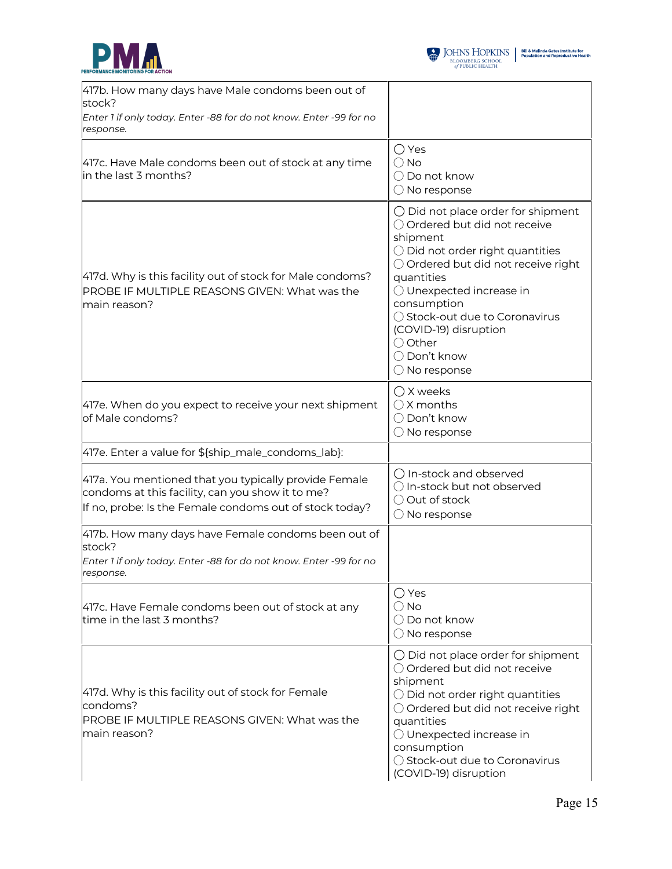



| 417b. How many days have Male condoms been out of<br>stock?<br>Enter 1 if only today. Enter -88 for do not know. Enter -99 for no<br>response.                       |                                                                                                                                                                                                                                                                                                                                                       |
|----------------------------------------------------------------------------------------------------------------------------------------------------------------------|-------------------------------------------------------------------------------------------------------------------------------------------------------------------------------------------------------------------------------------------------------------------------------------------------------------------------------------------------------|
| 417c. Have Male condoms been out of stock at any time<br>in the last 3 months?                                                                                       | ◯ Yes<br>$\bigcirc$ No<br>○ Do not know<br>$\bigcirc$ No response                                                                                                                                                                                                                                                                                     |
| 417d. Why is this facility out of stock for Male condoms?<br><b>PROBE IF MULTIPLE REASONS GIVEN: What was the</b><br>main reason?                                    | $\bigcirc$ Did not place order for shipment<br>○ Ordered but did not receive<br>shipment<br>$\bigcirc$ Did not order right quantities<br>○ Ordered but did not receive right<br>quantities<br>O Unexpected increase in<br>consumption<br>◯ Stock-out due to Coronavirus<br>(COVID-19) disruption<br>○ Other<br>◯ Don't know<br>$\bigcirc$ No response |
| 417e. When do you expect to receive your next shipment<br>of Male condoms?                                                                                           | $\bigcirc$ X weeks<br>$\bigcirc$ X months<br>◯ Don't know<br>$\bigcirc$ No response                                                                                                                                                                                                                                                                   |
| 417e. Enter a value for \${ship_male_condoms_lab}:                                                                                                                   |                                                                                                                                                                                                                                                                                                                                                       |
| 417a. You mentioned that you typically provide Female<br>condoms at this facility, can you show it to me?<br>If no, probe: Is the Female condoms out of stock today? | ○ In-stock and observed<br>O In-stock but not observed<br>○ Out of stock<br>$\bigcirc$ No response                                                                                                                                                                                                                                                    |
| 417b. How many days have Female condoms been out of<br>stock?<br>Enter 1 if only today. Enter -88 for do not know. Enter -99 for no<br>esponse.                      |                                                                                                                                                                                                                                                                                                                                                       |
| 417c. Have Female condoms been out of stock at any<br>time in the last 3 months?                                                                                     | $\bigcirc$ Yes<br>$\bigcirc$ No<br>$\bigcirc$ Do not know<br>$\bigcirc$ No response                                                                                                                                                                                                                                                                   |
| 417d. Why is this facility out of stock for Female<br>condoms?<br>PROBE IF MULTIPLE REASONS GIVEN: What was the<br>main reason?                                      | $\bigcirc$ Did not place order for shipment<br>○ Ordered but did not receive<br>shipment<br>$\bigcirc$ Did not order right quantities<br>○ Ordered but did not receive right<br>quantities<br>O Unexpected increase in<br>consumption<br>◯ Stock-out due to Coronavirus<br>(COVID-19) disruption                                                      |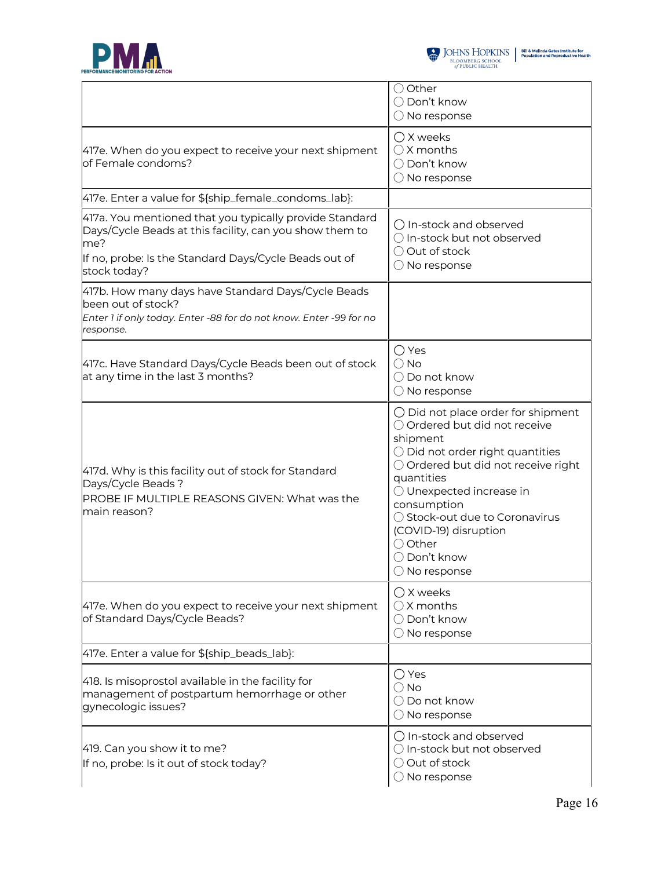

|                                                                                                                                                                                                    | ○ Other<br>◯ Don't know<br>$\bigcirc$ No response                                                                                                                                                                                                                                                                                            |
|----------------------------------------------------------------------------------------------------------------------------------------------------------------------------------------------------|----------------------------------------------------------------------------------------------------------------------------------------------------------------------------------------------------------------------------------------------------------------------------------------------------------------------------------------------|
| 417e. When do you expect to receive your next shipment<br>of Female condoms?                                                                                                                       | ○ X weeks<br>$\bigcirc$ X months<br>◯ Don't know<br>$\bigcirc$ No response                                                                                                                                                                                                                                                                   |
| 417e. Enter a value for \${ship_female_condoms_lab}:                                                                                                                                               |                                                                                                                                                                                                                                                                                                                                              |
| 417a. You mentioned that you typically provide Standard<br>Days/Cycle Beads at this facility, can you show them to<br>me?<br>If no, probe: Is the Standard Days/Cycle Beads out of<br>stock today? | ○ In-stock and observed<br>○ In-stock but not observed<br>○ Out of stock<br>$\bigcirc$ No response                                                                                                                                                                                                                                           |
| 417b. How many days have Standard Days/Cycle Beads<br>been out of stock?<br>Enter 1 if only today. Enter -88 for do not know. Enter -99 for no<br>response.                                        |                                                                                                                                                                                                                                                                                                                                              |
| 417c. Have Standard Days/Cycle Beads been out of stock<br>at any time in the last 3 months?                                                                                                        | $\bigcirc$ Yes<br>$\bigcirc$ No<br>◯ Do not know<br>$\bigcirc$ No response                                                                                                                                                                                                                                                                   |
| 417d. Why is this facility out of stock for Standard<br>Days/Cycle Beads?<br>PROBE IF MULTIPLE REASONS GIVEN: What was the<br>main reason?                                                         | $\bigcirc$ Did not place order for shipment<br>○ Ordered but did not receive<br>shipment<br>O Did not order right quantities<br>O Ordered but did not receive right<br>quantities<br>O Unexpected increase in<br>consumption<br>◯ Stock-out due to Coronavirus<br>(COVID-19) disruption<br>○ Other<br>◯ Don't know<br>$\bigcirc$ No response |
| 417e. When do you expect to receive your next shipment<br>of Standard Days/Cycle Beads?                                                                                                            | $\bigcirc$ X weeks<br>$\bigcirc$ X months<br>◯ Don't know<br>$\bigcirc$ No response                                                                                                                                                                                                                                                          |
| 417e. Enter a value for \${ship_beads_lab}:                                                                                                                                                        |                                                                                                                                                                                                                                                                                                                                              |
| 418. Is misoprostol available in the facility for<br>management of postpartum hemorrhage or other<br>gynecologic issues?                                                                           | ◯ Yes<br>$\bigcirc$ No<br>$\bigcirc$ Do not know<br>$\bigcirc$ No response                                                                                                                                                                                                                                                                   |
| 419. Can you show it to me?<br>If no, probe: Is it out of stock today?                                                                                                                             | ○ In-stock and observed<br>$\bigcirc$ In-stock but not observed<br>○ Out of stock<br>$\bigcirc$ No response                                                                                                                                                                                                                                  |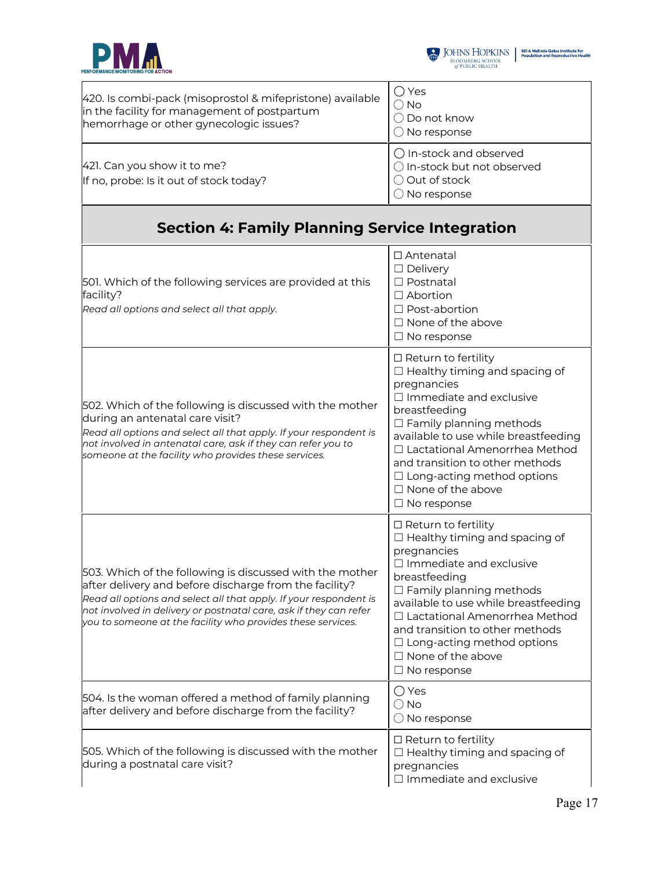

| 420. Is combi-pack (misoprostol & mifepristone) available<br>in the facility for management of postpartum<br>hemorrhage or other gynecologic issues?                                                                                                                                                                        | ◯ Yes<br>$\bigcirc$ No<br>$\bigcirc$ Do not know<br>$\bigcirc$ No response                                                                                                                                                                                                                                                                                                  |
|-----------------------------------------------------------------------------------------------------------------------------------------------------------------------------------------------------------------------------------------------------------------------------------------------------------------------------|-----------------------------------------------------------------------------------------------------------------------------------------------------------------------------------------------------------------------------------------------------------------------------------------------------------------------------------------------------------------------------|
| 421. Can you show it to me?<br>If no, probe: Is it out of stock today?                                                                                                                                                                                                                                                      | ○ In-stock and observed<br>○ In-stock but not observed<br>O Out of stock<br>$\bigcirc$ No response                                                                                                                                                                                                                                                                          |
| <b>Section 4: Family Planning Service Integration</b>                                                                                                                                                                                                                                                                       |                                                                                                                                                                                                                                                                                                                                                                             |
| 501. Which of the following services are provided at this<br>facility?<br>Read all options and select all that apply.                                                                                                                                                                                                       | □ Antenatal<br>$\Box$ Delivery<br>□ Postnatal<br>$\Box$ Abortion<br>$\Box$ Post-abortion<br>$\Box$ None of the above<br>$\Box$ No response                                                                                                                                                                                                                                  |
| 502. Which of the following is discussed with the mother<br>during an antenatal care visit?<br>Read all options and select all that apply. If your respondent is<br>not involved in antenatal care, ask if they can refer you to<br>someone at the facility who provides these services.                                    | $\Box$ Return to fertility<br>$\Box$ Healthy timing and spacing of<br>pregnancies<br>$\Box$ Immediate and exclusive<br>breastfeeding<br>$\Box$ Family planning methods<br>available to use while breastfeeding<br>□ Lactational Amenorrhea Method<br>and transition to other methods<br>$\Box$ Long-acting method options<br>$\Box$ None of the above<br>$\Box$ No response |
| 503. Which of the following is discussed with the mother<br>after delivery and before discharge from the facility?<br>Read all options and select all that apply. If your respondent is<br>not involved in delivery or postnatal care, ask if they can refer<br>you to someone at the facility who provides these services. | $\Box$ Return to fertility<br>$\Box$ Healthy timing and spacing of<br>pregnancies<br>$\Box$ Immediate and exclusive<br>breastfeeding<br>$\Box$ Family planning methods<br>available to use while breastfeeding<br>□ Lactational Amenorrhea Method<br>and transition to other methods<br>$\Box$ Long-acting method options<br>$\Box$ None of the above<br>$\Box$ No response |
| 504. Is the woman offered a method of family planning<br>after delivery and before discharge from the facility?                                                                                                                                                                                                             | ◯ Yes<br>$\bigcirc$ No<br>$\bigcirc$ No response                                                                                                                                                                                                                                                                                                                            |
| 505. Which of the following is discussed with the mother<br>during a postnatal care visit?                                                                                                                                                                                                                                  | $\Box$ Return to fertility<br>$\Box$ Healthy timing and spacing of<br>pregnancies<br>$\Box$ Immediate and exclusive                                                                                                                                                                                                                                                         |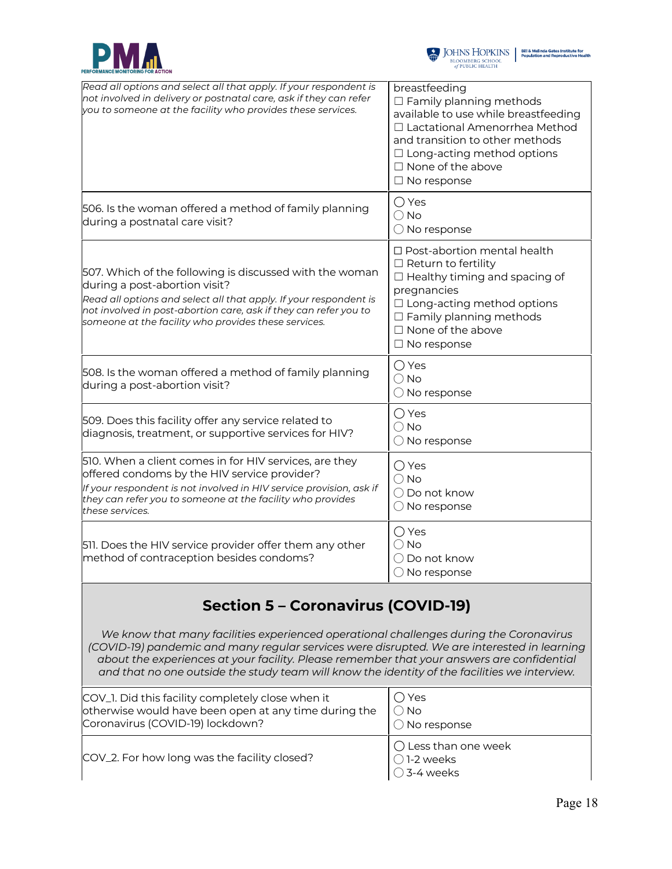



| Read all options and select all that apply. If your respondent is<br>not involved in delivery or postnatal care, ask if they can refer<br>you to someone at the facility who provides these services.                                                                                                                                                                                                                             | breastfeeding<br>$\Box$ Family planning methods<br>available to use while breastfeeding<br>□ Lactational Amenorrhea Method<br>and transition to other methods<br>$\Box$ Long-acting method options<br>$\Box$ None of the above<br>$\Box$ No response |
|-----------------------------------------------------------------------------------------------------------------------------------------------------------------------------------------------------------------------------------------------------------------------------------------------------------------------------------------------------------------------------------------------------------------------------------|------------------------------------------------------------------------------------------------------------------------------------------------------------------------------------------------------------------------------------------------------|
| 506. Is the woman offered a method of family planning<br>during a postnatal care visit?                                                                                                                                                                                                                                                                                                                                           | $\bigcirc$ Yes<br>$\bigcirc$ No<br>$\bigcirc$ No response                                                                                                                                                                                            |
| 507. Which of the following is discussed with the woman<br>during a post-abortion visit?<br>Read all options and select all that apply. If your respondent is<br>not involved in post-abortion care, ask if they can refer you to<br>someone at the facility who provides these services.                                                                                                                                         | □ Post-abortion mental health<br>$\Box$ Return to fertility<br>$\Box$ Healthy timing and spacing of<br>pregnancies<br>$\Box$ Long-acting method options<br>$\Box$ Family planning methods<br>$\Box$ None of the above<br>$\Box$ No response          |
| 508. Is the woman offered a method of family planning<br>during a post-abortion visit?                                                                                                                                                                                                                                                                                                                                            | $\bigcirc$ Yes<br>$\bigcirc$ No<br>$\bigcirc$ No response                                                                                                                                                                                            |
| 509. Does this facility offer any service related to<br>diagnosis, treatment, or supportive services for HIV?                                                                                                                                                                                                                                                                                                                     | $\bigcirc$ Yes<br>$\bigcirc$ No<br>$\bigcirc$ No response                                                                                                                                                                                            |
| 510. When a client comes in for HIV services, are they<br>offered condoms by the HIV service provider?<br>If your respondent is not involved in HIV service provision, ask if<br>they can refer you to someone at the facility who provides<br>these services.                                                                                                                                                                    | $\bigcirc$ Yes<br>$\bigcirc$ No<br>◯ Do not know<br>$\bigcirc$ No response                                                                                                                                                                           |
| 511. Does the HIV service provider offer them any other<br>method of contraception besides condoms?                                                                                                                                                                                                                                                                                                                               | $\bigcirc$ Yes<br>$\bigcirc$ No<br>$\bigcirc$ Do not know<br>$\bigcirc$ No response                                                                                                                                                                  |
| <b>Section 5 - Coronavirus (COVID-19)</b><br>We know that many facilities experienced operational challenges during the Coronavirus<br>(COVID-19) pandemic and many regular services were disrupted. We are interested in learning<br>about the experiences at your facility. Please remember that your answers are confidential<br>and that no one outside the study team will know the identity of the facilities we interview. |                                                                                                                                                                                                                                                      |
| COV_1. Did this facility completely close when it<br>otherwise would have been open at any time during the<br>Coronavirus (COVID-19) lockdown?                                                                                                                                                                                                                                                                                    | ◯ Yes<br>$\bigcirc$ No<br>$\bigcirc$ No response                                                                                                                                                                                                     |

COV\_2. For how long was the facility closed?

◯ Less than one week

◯ 1-2 weeks ◯ 3-4 weeks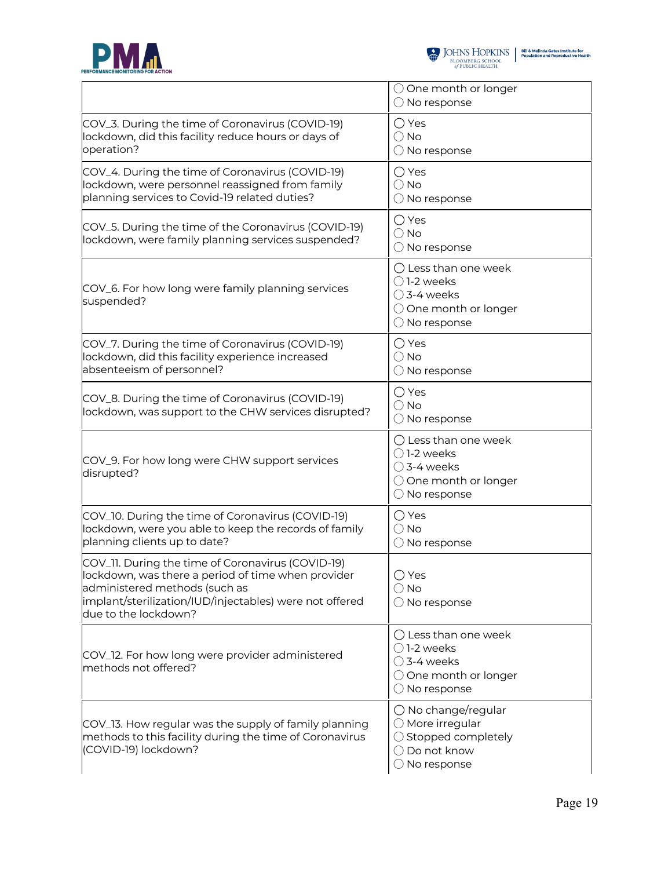



|                                                                                                                                                                                                                             | $\bigcirc$ One month or longer<br>$\bigcirc$ No response                                                                         |
|-----------------------------------------------------------------------------------------------------------------------------------------------------------------------------------------------------------------------------|----------------------------------------------------------------------------------------------------------------------------------|
| COV_3. During the time of Coronavirus (COVID-19)<br>lockdown, did this facility reduce hours or days of<br>operation?                                                                                                       | $\bigcirc$ Yes<br>$\bigcirc$ No<br>$\bigcirc$ No response                                                                        |
| COV_4. During the time of Coronavirus (COVID-19)<br>lockdown, were personnel reassigned from family<br>planning services to Covid-19 related duties?                                                                        | $\bigcirc$ Yes<br>$\bigcirc$ No<br>$\bigcirc$ No response                                                                        |
| COV_5. During the time of the Coronavirus (COVID-19)<br>lockdown, were family planning services suspended?                                                                                                                  | $\bigcirc$ Yes<br>$\bigcirc$ No<br>$\bigcirc$ No response                                                                        |
| COV_6. For how long were family planning services<br>suspended?                                                                                                                                                             | $\bigcirc$ Less than one week<br>$\bigcirc$ 1-2 weeks<br>$\bigcirc$ 3-4 weeks<br>○ One month or longer<br>$\bigcirc$ No response |
| COV_7. During the time of Coronavirus (COVID-19)<br>lockdown, did this facility experience increased<br>absenteeism of personnel?                                                                                           | ◯ Yes<br>$\bigcirc$ No<br>$\bigcirc$ No response                                                                                 |
| COV_8. During the time of Coronavirus (COVID-19)<br>lockdown, was support to the CHW services disrupted?                                                                                                                    | $\bigcirc$ Yes<br>$\bigcirc$ No<br>$\bigcirc$ No response                                                                        |
| COV_9. For how long were CHW support services<br>disrupted?                                                                                                                                                                 | ○ Less than one week<br>◯ 1-2 weeks<br>$\bigcirc$ 3-4 weeks<br>○ One month or longer<br>$\bigcirc$ No response                   |
| COV_10. During the time of Coronavirus (COVID-19)<br>lockdown, were you able to keep the records of family<br>planning clients up to date?                                                                                  | ○ Yes<br>$\bigcirc$ No<br>$\bigcirc$ No response                                                                                 |
| COV_11. During the time of Coronavirus (COVID-19)<br>lockdown, was there a period of time when provider<br>administered methods (such as<br>implant/sterilization/IUD/injectables) were not offered<br>due to the lockdown? | ◯ Yes<br>$\bigcirc$ No<br>$\bigcirc$ No response                                                                                 |
| COV_12. For how long were provider administered<br>methods not offered?                                                                                                                                                     | $\bigcirc$ Less than one week<br>○1-2 weeks<br>$\bigcirc$ 3-4 weeks<br>○ One month or longer<br>$\bigcirc$ No response           |
| COV_13. How regular was the supply of family planning<br>methods to this facility during the time of Coronavirus<br>(COVID-19) lockdown?                                                                                    | $\bigcirc$ No change/regular<br>$\bigcirc$ More irregular<br>◯ Stopped completely<br>◯ Do not know<br>$\bigcirc$ No response     |